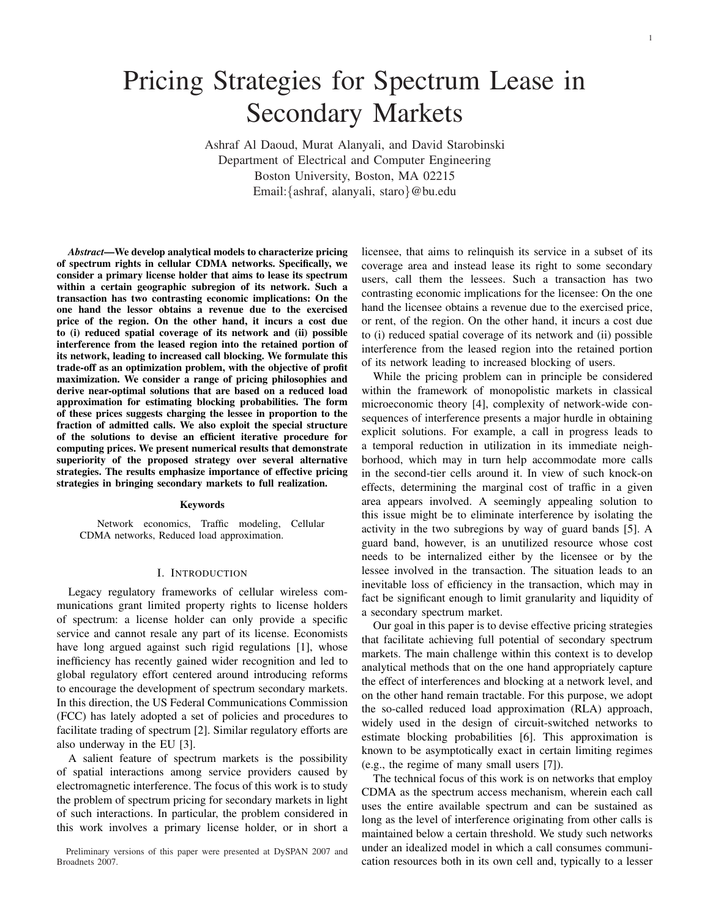# Pricing Strategies for Spectrum Lease in Secondary Markets

Ashraf Al Daoud, Murat Alanyali, and David Starobinski Department of Electrical and Computer Engineering Boston University, Boston, MA 02215 Email:{ashraf, alanyali, staro}@bu.edu

*Abstract*—We develop analytical models to characterize pricing of spectrum rights in cellular CDMA networks. Specifically, we consider a primary license holder that aims to lease its spectrum within a certain geographic subregion of its network. Such a transaction has two contrasting economic implications: On the one hand the lessor obtains a revenue due to the exercised price of the region. On the other hand, it incurs a cost due to (i) reduced spatial coverage of its network and (ii) possible interference from the leased region into the retained portion of its network, leading to increased call blocking. We formulate this trade-off as an optimization problem, with the objective of profit maximization. We consider a range of pricing philosophies and derive near-optimal solutions that are based on a reduced load approximation for estimating blocking probabilities. The form of these prices suggests charging the lessee in proportion to the fraction of admitted calls. We also exploit the special structure of the solutions to devise an efficient iterative procedure for computing prices. We present numerical results that demonstrate superiority of the proposed strategy over several alternative strategies. The results emphasize importance of effective pricing strategies in bringing secondary markets to full realization.

#### Keywords

Network economics, Traffic modeling, Cellular CDMA networks, Reduced load approximation.

## I. INTRODUCTION

Legacy regulatory frameworks of cellular wireless communications grant limited property rights to license holders of spectrum: a license holder can only provide a specific service and cannot resale any part of its license. Economists have long argued against such rigid regulations [1], whose inefficiency has recently gained wider recognition and led to global regulatory effort centered around introducing reforms to encourage the development of spectrum secondary markets. In this direction, the US Federal Communications Commission (FCC) has lately adopted a set of policies and procedures to facilitate trading of spectrum [2]. Similar regulatory efforts are also underway in the EU [3].

A salient feature of spectrum markets is the possibility of spatial interactions among service providers caused by electromagnetic interference. The focus of this work is to study the problem of spectrum pricing for secondary markets in light of such interactions. In particular, the problem considered in this work involves a primary license holder, or in short a

licensee, that aims to relinquish its service in a subset of its coverage area and instead lease its right to some secondary users, call them the lessees. Such a transaction has two contrasting economic implications for the licensee: On the one hand the licensee obtains a revenue due to the exercised price, or rent, of the region. On the other hand, it incurs a cost due to (i) reduced spatial coverage of its network and (ii) possible interference from the leased region into the retained portion of its network leading to increased blocking of users.

While the pricing problem can in principle be considered within the framework of monopolistic markets in classical microeconomic theory [4], complexity of network-wide consequences of interference presents a major hurdle in obtaining explicit solutions. For example, a call in progress leads to a temporal reduction in utilization in its immediate neighborhood, which may in turn help accommodate more calls in the second-tier cells around it. In view of such knock-on effects, determining the marginal cost of traffic in a given area appears involved. A seemingly appealing solution to this issue might be to eliminate interference by isolating the activity in the two subregions by way of guard bands [5]. A guard band, however, is an unutilized resource whose cost needs to be internalized either by the licensee or by the lessee involved in the transaction. The situation leads to an inevitable loss of efficiency in the transaction, which may in fact be significant enough to limit granularity and liquidity of a secondary spectrum market.

Our goal in this paper is to devise effective pricing strategies that facilitate achieving full potential of secondary spectrum markets. The main challenge within this context is to develop analytical methods that on the one hand appropriately capture the effect of interferences and blocking at a network level, and on the other hand remain tractable. For this purpose, we adopt the so-called reduced load approximation (RLA) approach, widely used in the design of circuit-switched networks to estimate blocking probabilities [6]. This approximation is known to be asymptotically exact in certain limiting regimes (e.g., the regime of many small users [7]).

The technical focus of this work is on networks that employ CDMA as the spectrum access mechanism, wherein each call uses the entire available spectrum and can be sustained as long as the level of interference originating from other calls is maintained below a certain threshold. We study such networks under an idealized model in which a call consumes communication resources both in its own cell and, typically to a lesser

Preliminary versions of this paper were presented at DySPAN 2007 and Broadnets 2007.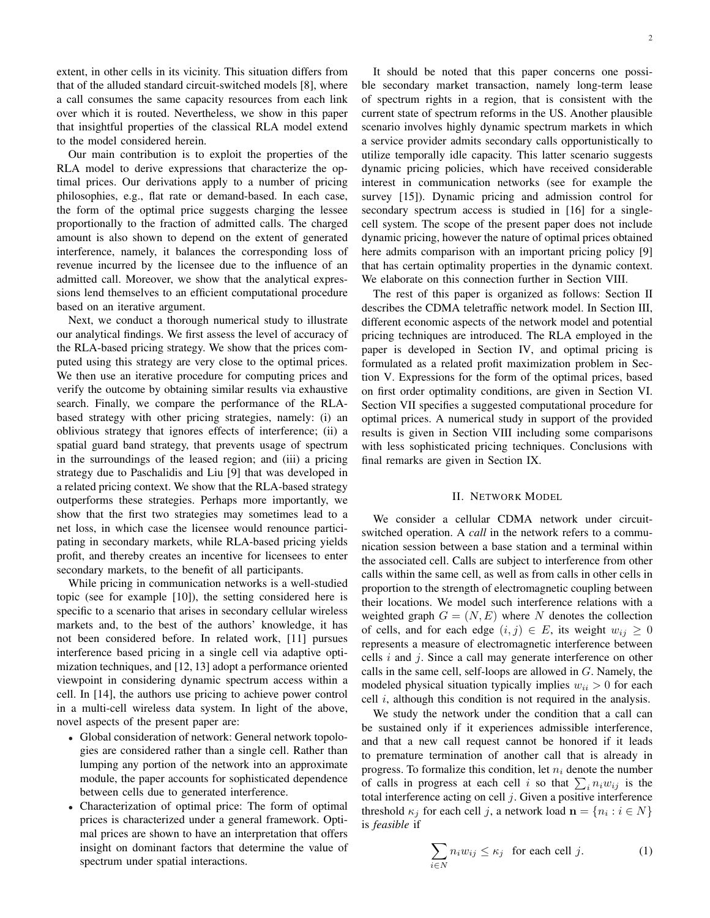extent, in other cells in its vicinity. This situation differs from that of the alluded standard circuit-switched models [8], where a call consumes the same capacity resources from each link over which it is routed. Nevertheless, we show in this paper that insightful properties of the classical RLA model extend to the model considered herein.

Our main contribution is to exploit the properties of the RLA model to derive expressions that characterize the optimal prices. Our derivations apply to a number of pricing philosophies, e.g., flat rate or demand-based. In each case, the form of the optimal price suggests charging the lessee proportionally to the fraction of admitted calls. The charged amount is also shown to depend on the extent of generated interference, namely, it balances the corresponding loss of revenue incurred by the licensee due to the influence of an admitted call. Moreover, we show that the analytical expressions lend themselves to an efficient computational procedure based on an iterative argument.

Next, we conduct a thorough numerical study to illustrate our analytical findings. We first assess the level of accuracy of the RLA-based pricing strategy. We show that the prices computed using this strategy are very close to the optimal prices. We then use an iterative procedure for computing prices and verify the outcome by obtaining similar results via exhaustive search. Finally, we compare the performance of the RLAbased strategy with other pricing strategies, namely: (i) an oblivious strategy that ignores effects of interference; (ii) a spatial guard band strategy, that prevents usage of spectrum in the surroundings of the leased region; and (iii) a pricing strategy due to Paschalidis and Liu [9] that was developed in a related pricing context. We show that the RLA-based strategy outperforms these strategies. Perhaps more importantly, we show that the first two strategies may sometimes lead to a net loss, in which case the licensee would renounce participating in secondary markets, while RLA-based pricing yields profit, and thereby creates an incentive for licensees to enter secondary markets, to the benefit of all participants.

While pricing in communication networks is a well-studied topic (see for example [10]), the setting considered here is specific to a scenario that arises in secondary cellular wireless markets and, to the best of the authors' knowledge, it has not been considered before. In related work, [11] pursues interference based pricing in a single cell via adaptive optimization techniques, and [12, 13] adopt a performance oriented viewpoint in considering dynamic spectrum access within a cell. In [14], the authors use pricing to achieve power control in a multi-cell wireless data system. In light of the above, novel aspects of the present paper are:

- Global consideration of network: General network topologies are considered rather than a single cell. Rather than lumping any portion of the network into an approximate module, the paper accounts for sophisticated dependence between cells due to generated interference.
- Characterization of optimal price: The form of optimal prices is characterized under a general framework. Optimal prices are shown to have an interpretation that offers insight on dominant factors that determine the value of spectrum under spatial interactions.

It should be noted that this paper concerns one possible secondary market transaction, namely long-term lease of spectrum rights in a region, that is consistent with the current state of spectrum reforms in the US. Another plausible scenario involves highly dynamic spectrum markets in which a service provider admits secondary calls opportunistically to utilize temporally idle capacity. This latter scenario suggests dynamic pricing policies, which have received considerable interest in communication networks (see for example the survey [15]). Dynamic pricing and admission control for secondary spectrum access is studied in [16] for a singlecell system. The scope of the present paper does not include dynamic pricing, however the nature of optimal prices obtained here admits comparison with an important pricing policy [9] that has certain optimality properties in the dynamic context. We elaborate on this connection further in Section VIII.

The rest of this paper is organized as follows: Section II describes the CDMA teletraffic network model. In Section III, different economic aspects of the network model and potential pricing techniques are introduced. The RLA employed in the paper is developed in Section IV, and optimal pricing is formulated as a related profit maximization problem in Section V. Expressions for the form of the optimal prices, based on first order optimality conditions, are given in Section VI. Section VII specifies a suggested computational procedure for optimal prices. A numerical study in support of the provided results is given in Section VIII including some comparisons with less sophisticated pricing techniques. Conclusions with final remarks are given in Section IX.

#### II. NETWORK MODEL

We consider a cellular CDMA network under circuitswitched operation. A *call* in the network refers to a communication session between a base station and a terminal within the associated cell. Calls are subject to interference from other calls within the same cell, as well as from calls in other cells in proportion to the strength of electromagnetic coupling between their locations. We model such interference relations with a weighted graph  $G = (N, E)$  where N denotes the collection of cells, and for each edge  $(i, j) \in E$ , its weight  $w_{ij} \geq 0$ represents a measure of electromagnetic interference between cells  $i$  and  $j$ . Since a call may generate interference on other calls in the same cell, self-loops are allowed in  $G$ . Namely, the modeled physical situation typically implies  $w_{ii} > 0$  for each cell  $i$ , although this condition is not required in the analysis.

We study the network under the condition that a call can be sustained only if it experiences admissible interference, and that a new call request cannot be honored if it leads to premature termination of another call that is already in progress. To formalize this condition, let  $n_i$  denote the number progress. To formalize this condition, let  $n_i$  denote the number<br>of calls in progress at each cell i so that  $\sum_i n_i w_{ij}$  is the total interference acting on cell  $j$ . Given a positive interference threshold  $\kappa_j$  for each cell j, a network load  $\mathbf{n} = \{n_i : i \in N\}$ is *feasible* if

$$
\sum_{i \in N} n_i w_{ij} \le \kappa_j \quad \text{for each cell } j. \tag{1}
$$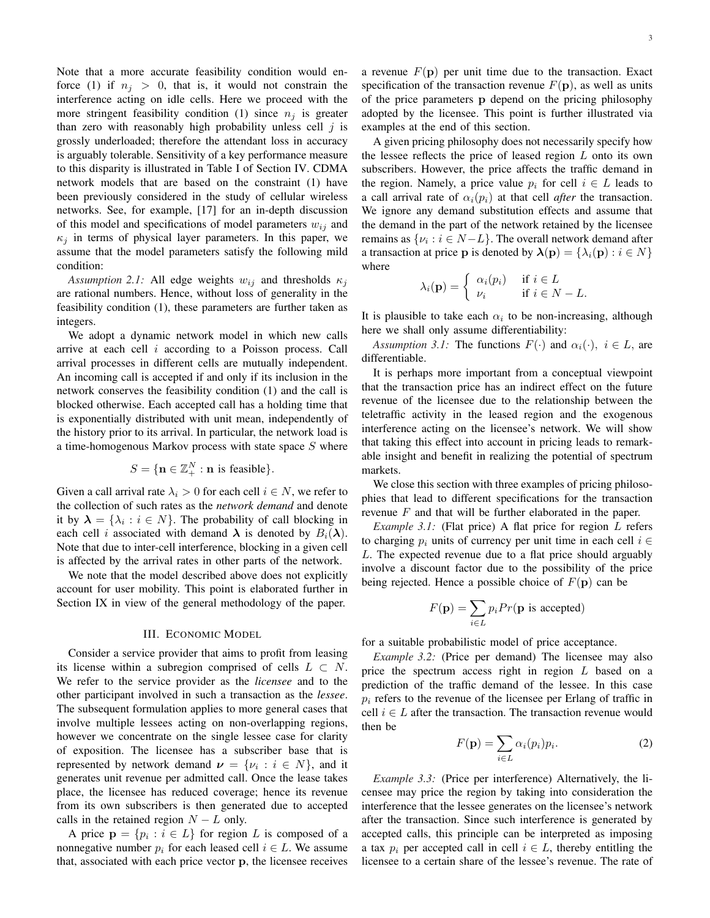Note that a more accurate feasibility condition would enforce (1) if  $n_j > 0$ , that is, it would not constrain the interference acting on idle cells. Here we proceed with the more stringent feasibility condition (1) since  $n_j$  is greater than zero with reasonably high probability unless cell  $j$  is grossly underloaded; therefore the attendant loss in accuracy is arguably tolerable. Sensitivity of a key performance measure to this disparity is illustrated in Table I of Section IV. CDMA network models that are based on the constraint (1) have been previously considered in the study of cellular wireless networks. See, for example, [17] for an in-depth discussion of this model and specifications of model parameters  $w_{ij}$  and  $\kappa_i$  in terms of physical layer parameters. In this paper, we assume that the model parameters satisfy the following mild condition:

*Assumption 2.1:* All edge weights  $w_{ij}$  and thresholds  $\kappa_j$ are rational numbers. Hence, without loss of generality in the feasibility condition (1), these parameters are further taken as integers.

We adopt a dynamic network model in which new calls arrive at each cell  $i$  according to a Poisson process. Call arrival processes in different cells are mutually independent. An incoming call is accepted if and only if its inclusion in the network conserves the feasibility condition (1) and the call is blocked otherwise. Each accepted call has a holding time that is exponentially distributed with unit mean, independently of the history prior to its arrival. In particular, the network load is a time-homogenous Markov process with state space  $S$  where

$$
S = \{ \mathbf{n} \in \mathbb{Z}_+^N : \mathbf{n} \text{ is feasible} \}.
$$

Given a call arrival rate  $\lambda_i > 0$  for each cell  $i \in N$ , we refer to the collection of such rates as the *network demand* and denote it by  $\lambda = \{\lambda_i : i \in N\}$ . The probability of call blocking in each cell i associated with demand  $\lambda$  is denoted by  $B_i(\lambda)$ . Note that due to inter-cell interference, blocking in a given cell is affected by the arrival rates in other parts of the network.

We note that the model described above does not explicitly account for user mobility. This point is elaborated further in Section IX in view of the general methodology of the paper.

## III. ECONOMIC MODEL

Consider a service provider that aims to profit from leasing its license within a subregion comprised of cells  $L \subset N$ . We refer to the service provider as the *licensee* and to the other participant involved in such a transaction as the *lessee*. The subsequent formulation applies to more general cases that involve multiple lessees acting on non-overlapping regions, however we concentrate on the single lessee case for clarity of exposition. The licensee has a subscriber base that is represented by network demand  $\boldsymbol{\nu} = \{ \nu_i : i \in N \}$ , and it generates unit revenue per admitted call. Once the lease takes place, the licensee has reduced coverage; hence its revenue from its own subscribers is then generated due to accepted calls in the retained region  $N - L$  only.

A price  $\mathbf{p} = \{p_i : i \in L\}$  for region L is composed of a nonnegative number  $p_i$  for each leased cell  $i \in L$ . We assume that, associated with each price vector p, the licensee receives a revenue  $F(\mathbf{p})$  per unit time due to the transaction. Exact specification of the transaction revenue  $F(\mathbf{p})$ , as well as units of the price parameters p depend on the pricing philosophy adopted by the licensee. This point is further illustrated via examples at the end of this section.

A given pricing philosophy does not necessarily specify how the lessee reflects the price of leased region L onto its own subscribers. However, the price affects the traffic demand in the region. Namely, a price value  $p_i$  for cell  $i \in L$  leads to a call arrival rate of  $\alpha_i(p_i)$  at that cell *after* the transaction. We ignore any demand substitution effects and assume that the demand in the part of the network retained by the licensee remains as  $\{v_i : i \in N - L\}$ . The overall network demand after a transaction at price **p** is denoted by  $\lambda(\mathbf{p}) = {\lambda_i(\mathbf{p}) : i \in N}$ where

$$
\lambda_i(\mathbf{p}) = \begin{cases} \alpha_i(p_i) & \text{if } i \in L \\ \nu_i & \text{if } i \in N - L. \end{cases}
$$

It is plausible to take each  $\alpha_i$  to be non-increasing, although here we shall only assume differentiability:

*Assumption 3.1:* The functions  $F(\cdot)$  and  $\alpha_i(\cdot)$ ,  $i \in L$ , are differentiable.

It is perhaps more important from a conceptual viewpoint that the transaction price has an indirect effect on the future revenue of the licensee due to the relationship between the teletraffic activity in the leased region and the exogenous interference acting on the licensee's network. We will show that taking this effect into account in pricing leads to remarkable insight and benefit in realizing the potential of spectrum markets.

We close this section with three examples of pricing philosophies that lead to different specifications for the transaction revenue F and that will be further elaborated in the paper.

*Example 3.1:* (Flat price) A flat price for region L refers to charging  $p_i$  units of currency per unit time in each cell  $i \in$ L. The expected revenue due to a flat price should arguably involve a discount factor due to the possibility of the price being rejected. Hence a possible choice of  $F(\mathbf{p})$  can be

$$
F(\mathbf{p}) = \sum_{i \in L} p_i Pr(\mathbf{p} \text{ is accepted})
$$

for a suitable probabilistic model of price acceptance.

*Example 3.2:* (Price per demand) The licensee may also price the spectrum access right in region L based on a prediction of the traffic demand of the lessee. In this case  $p_i$  refers to the revenue of the licensee per Erlang of traffic in cell  $i \in L$  after the transaction. The transaction revenue would then be

$$
F(\mathbf{p}) = \sum_{i \in L} \alpha_i(p_i) p_i.
$$
 (2)

*Example 3.3:* (Price per interference) Alternatively, the licensee may price the region by taking into consideration the interference that the lessee generates on the licensee's network after the transaction. Since such interference is generated by accepted calls, this principle can be interpreted as imposing a tax  $p_i$  per accepted call in cell  $i \in L$ , thereby entitling the licensee to a certain share of the lessee's revenue. The rate of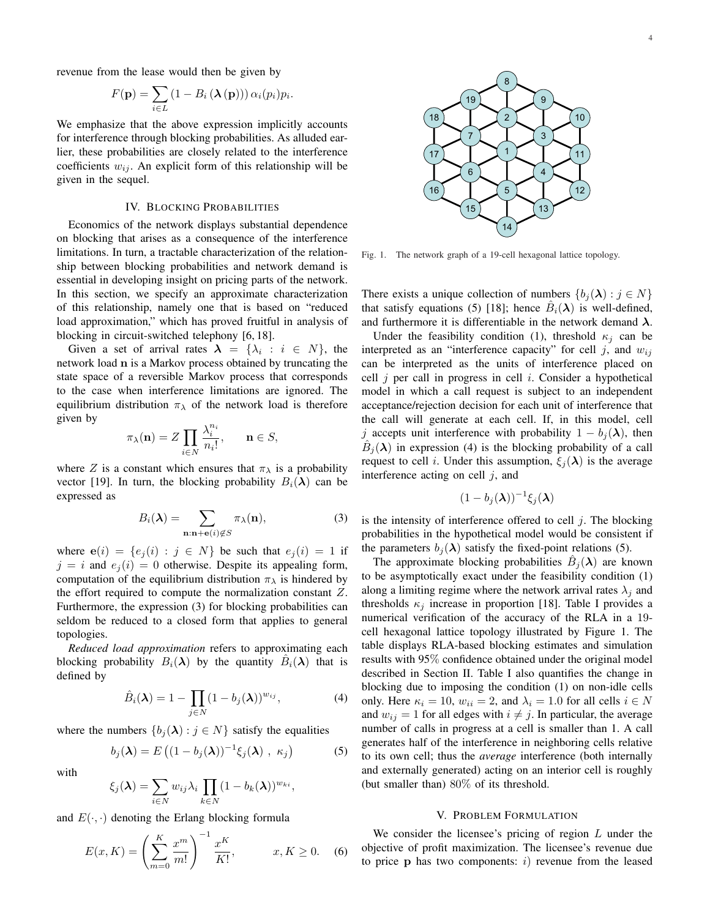revenue from the lease would then be given by

$$
F(\mathbf{p}) = \sum_{i \in L} (1 - B_i \left( \mathbf{\lambda} \left( \mathbf{p} \right) \right) \right) \alpha_i(p_i) p_i.
$$

We emphasize that the above expression implicitly accounts for interference through blocking probabilities. As alluded earlier, these probabilities are closely related to the interference coefficients  $w_{ij}$ . An explicit form of this relationship will be given in the sequel.

#### IV. BLOCKING PROBABILITIES

Economics of the network displays substantial dependence on blocking that arises as a consequence of the interference limitations. In turn, a tractable characterization of the relationship between blocking probabilities and network demand is essential in developing insight on pricing parts of the network. In this section, we specify an approximate characterization of this relationship, namely one that is based on "reduced load approximation," which has proved fruitful in analysis of blocking in circuit-switched telephony [6, 18].

Given a set of arrival rates  $\lambda = \{\lambda_i : i \in N\}$ , the network load n is a Markov process obtained by truncating the state space of a reversible Markov process that corresponds to the case when interference limitations are ignored. The equilibrium distribution  $\pi_{\lambda}$  of the network load is therefore given by

$$
\pi_{\lambda}(\mathbf{n}) = Z \prod_{i \in N} \frac{\lambda_i^{n_i}}{n_i!}, \qquad \mathbf{n} \in S,
$$

where Z is a constant which ensures that  $\pi_{\lambda}$  is a probability vector [19]. In turn, the blocking probability  $B_i(\lambda)$  can be expressed as

$$
B_i(\lambda) = \sum_{\mathbf{n}:\mathbf{n}+\mathbf{e}(i)\notin S} \pi_{\lambda}(\mathbf{n}),\tag{3}
$$

where  $e(i) = \{e_i(i) : j \in N\}$  be such that  $e_i(i) = 1$  if  $j = i$  and  $e_i(i) = 0$  otherwise. Despite its appealing form, computation of the equilibrium distribution  $\pi_{\lambda}$  is hindered by the effort required to compute the normalization constant Z. Furthermore, the expression (3) for blocking probabilities can seldom be reduced to a closed form that applies to general topologies.

*Reduced load approximation* refers to approximating each blocking probability  $B_i(\lambda)$  by the quantity  $\hat{B}_i(\lambda)$  that is defined by

$$
\hat{B}_i(\lambda) = 1 - \prod_{j \in N} (1 - b_j(\lambda))^{w_{ij}}, \tag{4}
$$

where the numbers  $\{b_i(\lambda): j \in N\}$  satisfy the equalities

$$
b_j(\lambda) = E\left((1 - b_j(\lambda))^{-1}\xi_j(\lambda), \kappa_j\right) \tag{5}
$$

with

$$
\xi_j(\boldsymbol{\lambda}) = \sum_{i \in N} w_{ij} \lambda_i \prod_{k \in N} (1 - b_k(\boldsymbol{\lambda}))^{w_{ki}},
$$

and  $E(\cdot, \cdot)$  denoting the Erlang blocking formula

$$
E(x, K) = \left(\sum_{m=0}^{K} \frac{x^m}{m!} \right)^{-1} \frac{x^K}{K!}, \qquad x, K \ge 0. \quad (6)
$$



Fig. 1. The network graph of a 19-cell hexagonal lattice topology.

There exists a unique collection of numbers  $\{b_i(\lambda): j \in N\}$ that satisfy equations (5) [18]; hence  $\hat{B}_i(\lambda)$  is well-defined, and furthermore it is differentiable in the network demand  $\lambda$ .

Under the feasibility condition (1), threshold  $\kappa_i$  can be interpreted as an "interference capacity" for cell  $j$ , and  $w_{ij}$ can be interpreted as the units of interference placed on cell  $j$  per call in progress in cell  $i$ . Consider a hypothetical model in which a call request is subject to an independent acceptance/rejection decision for each unit of interference that the call will generate at each cell. If, in this model, cell j accepts unit interference with probability  $1 - b_i(\lambda)$ , then  $\hat{B}_j(\lambda)$  in expression (4) is the blocking probability of a call request to cell *i*. Under this assumption,  $\xi_i(\lambda)$  is the average interference acting on cell  $j$ , and

$$
(1-b_j(\boldsymbol{\lambda}))^{-1}\xi_j(\boldsymbol{\lambda})
$$

is the intensity of interference offered to cell  $j$ . The blocking probabilities in the hypothetical model would be consistent if the parameters  $b_j(\lambda)$  satisfy the fixed-point relations (5).

The approximate blocking probabilities  $\hat{B}_j(\lambda)$  are known to be asymptotically exact under the feasibility condition (1) along a limiting regime where the network arrival rates  $\lambda_j$  and thresholds  $\kappa_j$  increase in proportion [18]. Table I provides a numerical verification of the accuracy of the RLA in a 19 cell hexagonal lattice topology illustrated by Figure 1. The table displays RLA-based blocking estimates and simulation results with 95% confidence obtained under the original model described in Section II. Table I also quantifies the change in blocking due to imposing the condition (1) on non-idle cells only. Here  $\kappa_i = 10$ ,  $w_{ii} = 2$ , and  $\lambda_i = 1.0$  for all cells  $i \in N$ and  $w_{ij} = 1$  for all edges with  $i \neq j$ . In particular, the average number of calls in progress at a cell is smaller than 1. A call generates half of the interference in neighboring cells relative to its own cell; thus the *average* interference (both internally and externally generated) acting on an interior cell is roughly (but smaller than) 80% of its threshold.

## V. PROBLEM FORMULATION

We consider the licensee's pricing of region  $L$  under the objective of profit maximization. The licensee's revenue due to price  $p$  has two components:  $i)$  revenue from the leased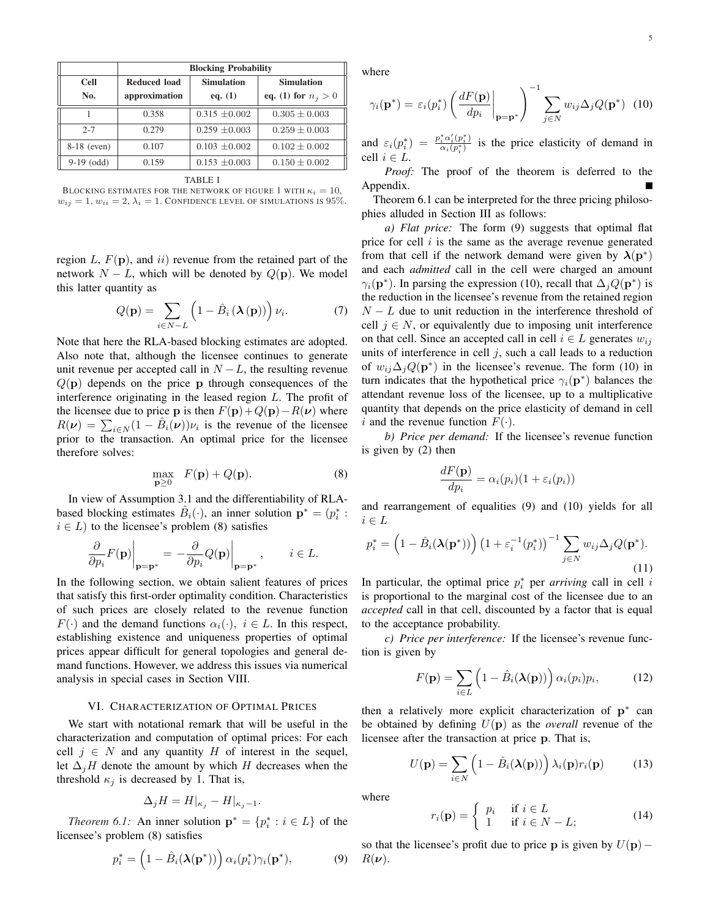|              | <b>Blocking Probability</b> |                                        |                       |  |  |  |
|--------------|-----------------------------|----------------------------------------|-----------------------|--|--|--|
| <b>Cell</b>  | Reduced load                | <b>Simulation</b><br><b>Simulation</b> |                       |  |  |  |
| No.          | approximation               | eq. $(1)$                              | eq. (1) for $n_i > 0$ |  |  |  |
|              | 0.358                       | $0.315 \pm 0.002$                      | $0.305 \pm 0.003$     |  |  |  |
| $2 - 7$      | 0.279                       | $0.259 + 0.003$                        | $0.259 + 0.003$       |  |  |  |
| 8-18 (even)  | 0.107                       | $0.103 \pm 0.002$                      | $0.102 \pm 0.002$     |  |  |  |
| $9-19$ (odd) | 0.159                       | $0.153 \pm 0.003$                      | $0.150 \pm 0.002$     |  |  |  |

TABLE I

BLOCKING ESTIMATES FOR THE NETWORK OF FIGURE 1 WITH  $\kappa_i = 10$ ,  $w_{ij} = 1, w_{ii} = 2, \lambda_i = 1$ . CONFIDENCE LEVEL OF SIMULATIONS IS 95%.

region L,  $F(\mathbf{p})$ , and ii) revenue from the retained part of the network  $N - L$ , which will be denoted by  $Q(\mathbf{p})$ . We model this latter quantity as

$$
Q(\mathbf{p}) = \sum_{i \in N-L} \left(1 - \hat{B}_i\left(\boldsymbol{\lambda}\left(\mathbf{p}\right)\right)\right) \nu_i.
$$
 (7)

Note that here the RLA-based blocking estimates are adopted. Also note that, although the licensee continues to generate unit revenue per accepted call in  $N - L$ , the resulting revenue  $Q(\mathbf{p})$  depends on the price p through consequences of the interference originating in the leased region L. The profit of the licensee due to price **p** is then  $F(\mathbf{p})+Q(\mathbf{p})-R(\nu)$  where the incensee due to price **p** is then  $F(\mathbf{p}) + Q(\mathbf{p}) - R(\nu)$  where  $R(\nu) = \sum_{i \in N} (1 - \hat{B}_i(\nu)) \nu_i$  is the revenue of the licensee prior to the transaction. An optimal price for the licensee therefore solves:

$$
\max_{\mathbf{p}\geq 0} F(\mathbf{p}) + Q(\mathbf{p}).
$$
\n(8)

In view of Assumption 3.1 and the differentiability of RLAbased blocking estimates  $\hat{B}_i(\cdot)$ , an inner solution  $\mathbf{p}^* = (p_i^* : \mathbf{p}_i^*)$  $i \in L$ ) to the licensee's problem (8) satisfies

$$
\left. \frac{\partial}{\partial p_i} F(\mathbf{p}) \right|_{\mathbf{p} = \mathbf{p}^*} = -\frac{\partial}{\partial p_i} Q(\mathbf{p}) \right|_{\mathbf{p} = \mathbf{p}^*}, \qquad i \in L.
$$

In the following section, we obtain salient features of prices that satisfy this first-order optimality condition. Characteristics of such prices are closely related to the revenue function  $F(\cdot)$  and the demand functions  $\alpha_i(\cdot), i \in L$ . In this respect, establishing existence and uniqueness properties of optimal prices appear difficult for general topologies and general demand functions. However, we address this issues via numerical analysis in special cases in Section VIII.

# VI. CHARACTERIZATION OF OPTIMAL PRICES

We start with notational remark that will be useful in the characterization and computation of optimal prices: For each cell  $j \in N$  and any quantity H of interest in the sequel, let  $\Delta_i H$  denote the amount by which H decreases when the threshold  $\kappa_i$  is decreased by 1. That is,

$$
\Delta_j H = H|_{\kappa_j} - H|_{\kappa_j - 1}.
$$

*Theorem 6.1:* An inner solution  $\mathbf{p}^* = \{p_i^* : i \in L\}$  of the licensee's problem (8) satisfies

$$
p_i^* = \left(1 - \hat{B}_i(\lambda(\mathbf{p}^*))\right) \alpha_i(p_i^*) \gamma_i(\mathbf{p}^*),\tag{9}
$$

where

$$
\gamma_i(\mathbf{p}^*) = \varepsilon_i(p_i^*) \left( \frac{dF(\mathbf{p})}{dp_i} \bigg|_{\mathbf{p} = \mathbf{p}^*} \right)^{-1} \sum_{j \in N} w_{ij} \Delta_j Q(\mathbf{p}^*) \tag{10}
$$

and  $\varepsilon_i(p_i^*) = \frac{p_i^* \alpha_i'(p_i^*)}{\alpha_i(p_i^*)}$  $\frac{i \alpha_i(p_i)}{\alpha_i(p_i^*)}$  is the price elasticity of demand in cell  $i \in L$ .

*Proof:* The proof of the theorem is deferred to the Appendix.

Theorem 6.1 can be interpreted for the three pricing philosophies alluded in Section III as follows:

*a) Flat price:* The form (9) suggests that optimal flat price for cell  $i$  is the same as the average revenue generated from that cell if the network demand were given by  $\lambda(\mathbf{p}^*)$ and each *admitted* call in the cell were charged an amount  $\gamma_i(\mathbf{p}^*)$ . In parsing the expression (10), recall that  $\Delta_j Q(\mathbf{p}^*)$  is the reduction in the licensee's revenue from the retained region  $N - L$  due to unit reduction in the interference threshold of cell  $j \in N$ , or equivalently due to imposing unit interference on that cell. Since an accepted call in cell  $i \in L$  generates  $w_{ij}$ units of interference in cell  $j$ , such a call leads to a reduction of  $w_{ij} \Delta_j Q(\mathbf{p}^*)$  in the licensee's revenue. The form (10) in turn indicates that the hypothetical price  $\gamma_i(\mathbf{p}^*)$  balances the attendant revenue loss of the licensee, up to a multiplicative quantity that depends on the price elasticity of demand in cell i and the revenue function  $F(.)$ .

*b) Price per demand:* If the licensee's revenue function is given by (2) then

$$
\frac{dF(\mathbf{p})}{dp_i} = \alpha_i(p_i)(1 + \varepsilon_i(p_i))
$$

and rearrangement of equalities (9) and (10) yields for all  $i \in L$ 

$$
p_i^* = \left(1 - \hat{B}_i(\lambda(\mathbf{p}^*))\right) \left(1 + \varepsilon_i^{-1}(p_i^*)\right)^{-1} \sum_{j \in N} w_{ij} \Delta_j Q(\mathbf{p}^*).
$$
\n(11)

In particular, the optimal price  $p_i^*$  per *arriving* call in cell i is proportional to the marginal cost of the licensee due to an *accepted* call in that cell, discounted by a factor that is equal to the acceptance probability.

*c) Price per interference:* If the licensee's revenue function is given by

$$
F(\mathbf{p}) = \sum_{i \in L} \left( 1 - \hat{B}_i(\boldsymbol{\lambda}(\mathbf{p})) \right) \alpha_i(p_i) p_i,
$$
 (12)

then a relatively more explicit characterization of  $p^*$  can be obtained by defining  $U(\mathbf{p})$  as the *overall* revenue of the licensee after the transaction at price p. That is,

$$
U(\mathbf{p}) = \sum_{i \in N} \left(1 - \hat{B}_i(\lambda(\mathbf{p}))\right) \lambda_i(\mathbf{p}) r_i(\mathbf{p}) \tag{13}
$$

where

$$
r_i(\mathbf{p}) = \begin{cases} p_i & \text{if } i \in L \\ 1 & \text{if } i \in N - L; \end{cases}
$$
 (14)

so that the licensee's profit due to price p is given by  $U(p)$  –  $R(\nu)$ .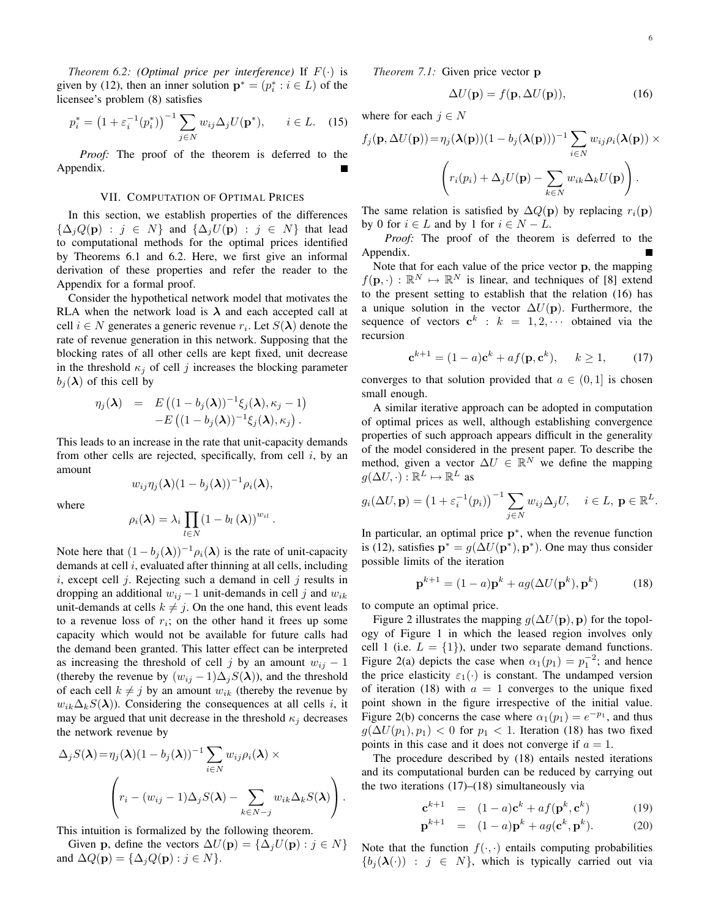.

*Theorem 6.2: (Optimal price per interference)* If  $F(\cdot)$  is given by (12), then an inner solution  $\mathbf{p}^* = (p_i^* : i \in L)$  of the licensee's problem (8) satisfies

$$
p_i^* = (1 + \varepsilon_i^{-1}(p_i^*))^{-1} \sum_{j \in N} w_{ij} \Delta_j U(\mathbf{p}^*), \qquad i \in L. \quad (15)
$$

*Proof:* The proof of the theorem is deferred to the Appendix.

# VII. COMPUTATION OF OPTIMAL PRICES

In this section, we establish properties of the differences  $\{\Delta_i Q(\mathbf{p}) : j \in N\}$  and  $\{\Delta_j U(\mathbf{p}) : j \in N\}$  that lead to computational methods for the optimal prices identified by Theorems 6.1 and 6.2. Here, we first give an informal derivation of these properties and refer the reader to the Appendix for a formal proof.

Consider the hypothetical network model that motivates the RLA when the network load is  $\lambda$  and each accepted call at cell  $i \in N$  generates a generic revenue  $r_i$ . Let  $S(\lambda)$  denote the rate of revenue generation in this network. Supposing that the blocking rates of all other cells are kept fixed, unit decrease in the threshold  $\kappa_j$  of cell j increases the blocking parameter  $b_i(\lambda)$  of this cell by

$$
\eta_j(\boldsymbol{\lambda}) = E\left((1-b_j(\boldsymbol{\lambda}))^{-1}\xi_j(\boldsymbol{\lambda}), \kappa_j - 1\right) -E\left((1-b_j(\boldsymbol{\lambda}))^{-1}\xi_j(\boldsymbol{\lambda}), \kappa_j\right).
$$

This leads to an increase in the rate that unit-capacity demands from other cells are rejected, specifically, from cell  $i$ , by an amount

 $w_{ij}\eta_j(\boldsymbol\lambda)(1-b_j(\boldsymbol\lambda))^{-1}\rho_i(\boldsymbol\lambda),$ 

where

$$
\rho_i(\boldsymbol{\lambda}) = \lambda_i \prod_{l \in N} (1 - b_l(\boldsymbol{\lambda}))^{w_{il}}.
$$

Note here that  $(1 - b_j(\lambda))^{-1} \rho_i(\lambda)$  is the rate of unit-capacity demands at cell  $i$ , evaluated after thinning at all cells, including i, except cell j. Rejecting such a demand in cell j results in dropping an additional  $w_{ij}$  −1 unit-demands in cell j and  $w_{ik}$ unit-demands at cells  $k \neq j$ . On the one hand, this event leads to a revenue loss of  $r_i$ ; on the other hand it frees up some capacity which would not be available for future calls had the demand been granted. This latter effect can be interpreted as increasing the threshold of cell j by an amount  $w_{ij} - 1$ (thereby the revenue by  $(w_{ij} - 1)\Delta_j S(\lambda)$ ), and the threshold of each cell  $k \neq j$  by an amount  $w_{ik}$  (thereby the revenue by  $w_{ik}\Delta_kS(\lambda)$ ). Considering the consequences at all cells *i*, it may be argued that unit decrease in the threshold  $\kappa_i$  decreases the network revenue by

$$
\Delta_j S(\boldsymbol{\lambda}) = \eta_j(\boldsymbol{\lambda})(1 - b_j(\boldsymbol{\lambda}))^{-1} \sum_{i \in N} w_{ij} \rho_i(\boldsymbol{\lambda}) \times \left( r_i - (w_{ij} - 1) \Delta_j S(\boldsymbol{\lambda}) - \sum_{k \in N - j} w_{ik} \Delta_k S(\boldsymbol{\lambda}) \right).
$$

This intuition is formalized by the following theorem.

Given **p**, define the vectors  $\Delta U(\mathbf{p}) = {\Delta_j U(\mathbf{p}) : j \in N}$ and  $\Delta Q(\mathbf{p}) = {\Delta_j Q(\mathbf{p}) : j \in N}.$ 

*Theorem 7.1:* Given price vector **p** 

$$
\Delta U(\mathbf{p}) = f(\mathbf{p}, \Delta U(\mathbf{p})),\tag{16}
$$

where for each  $j \in N$ 

$$
f_j(\mathbf{p}, \Delta U(\mathbf{p})) = \eta_j(\lambda(\mathbf{p}))(1 - b_j(\lambda(\mathbf{p})))^{-1} \sum_{i \in N} w_{ij} \rho_i(\lambda(\mathbf{p})) \times
$$

$$
\left(r_i(p_i) + \Delta_j U(\mathbf{p}) - \sum_{k \in N} w_{ik} \Delta_k U(\mathbf{p})\right).
$$

The same relation is satisfied by  $\Delta Q(\mathbf{p})$  by replacing  $r_i(\mathbf{p})$ by 0 for  $i \in L$  and by 1 for  $i \in N - L$ .

*Proof:* The proof of the theorem is deferred to the Appendix.

Note that for each value of the price vector p, the mapping  $f(\mathbf{p},\cdot): \mathbb{R}^N \mapsto \mathbb{R}^N$  is linear, and techniques of [8] extend to the present setting to establish that the relation (16) has a unique solution in the vector  $\Delta U(\mathbf{p})$ . Furthermore, the sequence of vectors  $\mathbf{c}^k$  :  $k = 1, 2, \cdots$  obtained via the recursion

$$
\mathbf{c}^{k+1} = (1-a)\mathbf{c}^k + af(\mathbf{p}, \mathbf{c}^k), \quad k \ge 1,
$$
 (17)

converges to that solution provided that  $a \in (0, 1]$  is chosen small enough.

A similar iterative approach can be adopted in computation of optimal prices as well, although establishing convergence properties of such approach appears difficult in the generality of the model considered in the present paper. To describe the method, given a vector  $\Delta U \in \mathbb{R}^N$  we define the mapping  $g(\Delta U, \cdot): \mathbb{R}^L \mapsto \mathbb{R}^L$  as

$$
g_i(\Delta U, \mathbf{p}) = \left(1 + \varepsilon_i^{-1}(p_i)\right)^{-1} \sum_{j \in N} w_{ij} \Delta_j U, \quad i \in L, \ \mathbf{p} \in \mathbb{R}^L
$$

In particular, an optimal price  $p^*$ , when the revenue function is (12), satisfies  $\mathbf{p}^* = g(\Delta U(\mathbf{p}^*), \mathbf{p}^*)$ . One may thus consider possible limits of the iteration

$$
\mathbf{p}^{k+1} = (1-a)\mathbf{p}^k + ag(\Delta U(\mathbf{p}^k), \mathbf{p}^k)
$$
 (18)

to compute an optimal price.

Figure 2 illustrates the mapping  $g(\Delta U(\mathbf{p}), \mathbf{p})$  for the topology of Figure 1 in which the leased region involves only cell 1 (i.e.  $L = \{1\}$ ), under two separate demand functions. Figure 2(a) depicts the case when  $\alpha_1(p_1) = p_1^{-2}$ ; and hence the price elasticity  $\varepsilon_1(\cdot)$  is constant. The undamped version of iteration (18) with  $a = 1$  converges to the unique fixed point shown in the figure irrespective of the initial value. Figure 2(b) concerns the case where  $\alpha_1(p_1) = e^{-p_1}$ , and thus  $g(\Delta U(p_1), p_1) < 0$  for  $p_1 < 1$ . Iteration (18) has two fixed points in this case and it does not converge if  $a = 1$ .

The procedure described by (18) entails nested iterations and its computational burden can be reduced by carrying out the two iterations (17)–(18) simultaneously via

$$
\mathbf{c}^{k+1} = (1-a)\mathbf{c}^k + af(\mathbf{p}^k, \mathbf{c}^k) \tag{19}
$$

$$
\mathbf{p}^{k+1} = (1-a)\mathbf{p}^k + ag(\mathbf{c}^k, \mathbf{p}^k). \tag{20}
$$

Note that the function  $f(\cdot, \cdot)$  entails computing probabilities  ${b_i(\lambda(\cdot)) : j \in N}$ , which is typically carried out via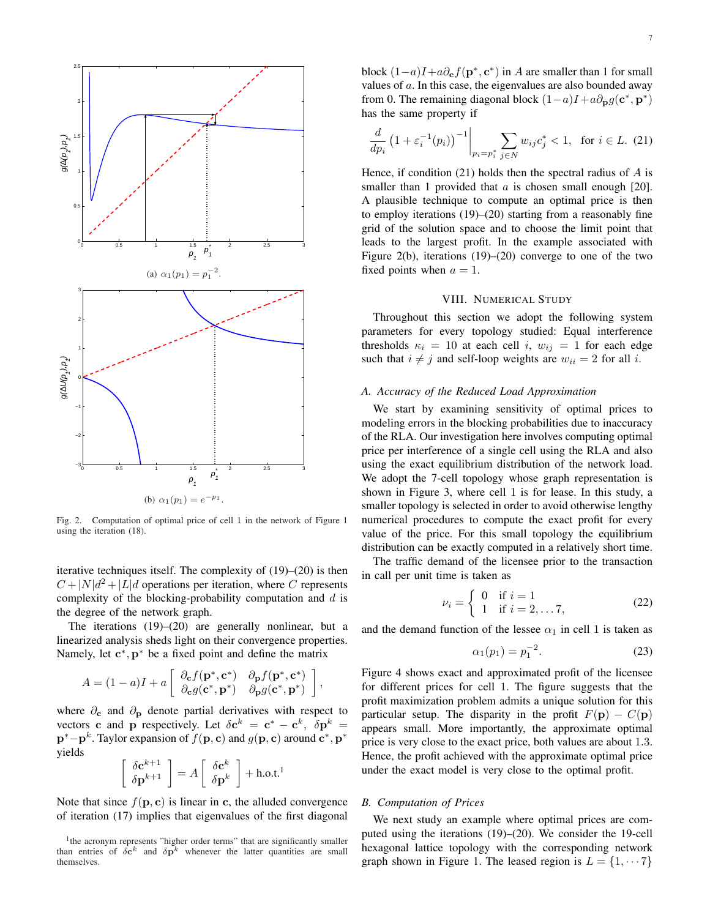

Fig. 2. Computation of optimal price of cell 1 in the network of Figure 1 using the iteration (18).

iterative techniques itself. The complexity of (19)–(20) is then  $C + |N|d^2 + |L|d$  operations per iteration, where C represents complexity of the blocking-probability computation and  $d$  is the degree of the network graph.

The iterations  $(19)$ – $(20)$  are generally nonlinear, but a linearized analysis sheds light on their convergence properties. Namely, let  $c^*$ ,  $p^*$  be a fixed point and define the matrix

$$
A = (1 - a)I + a \begin{bmatrix} \partial_{\mathbf{c}} f(\mathbf{p}^*, \mathbf{c}^*) & \partial_{\mathbf{p}} f(\mathbf{p}^*, \mathbf{c}^*) \\ \partial_{\mathbf{c}} g(\mathbf{c}^*, \mathbf{p}^*) & \partial_{\mathbf{p}} g(\mathbf{c}^*, \mathbf{p}^*) \end{bmatrix}
$$

,

where  $\partial_c$  and  $\partial_p$  denote partial derivatives with respect to vectors **c** and **p** respectively. Let  $\delta \mathbf{c}^k = \mathbf{c}^* - \mathbf{c}^k$ ,  $\delta \mathbf{p}^k =$  $\mathbf{p}^* - \mathbf{p}^k$ . Taylor expansion of  $f(\mathbf{p}, \mathbf{c})$  and  $g(\mathbf{p}, \mathbf{c})$  around  $\mathbf{c}^*, \mathbf{p}^*$ yields · ·  $\overline{a}$ 

$$
\begin{bmatrix} \delta \mathbf{c}^{k+1} \\ \delta \mathbf{p}^{k+1} \end{bmatrix} = A \begin{bmatrix} \delta \mathbf{c}^k \\ \delta \mathbf{p}^k \end{bmatrix} + \text{h.o.t.}^1
$$

Note that since  $f(\mathbf{p}, \mathbf{c})$  is linear in c, the alluded convergence of iteration (17) implies that eigenvalues of the first diagonal

block  $(1-a)I + a\partial_{\bf c} f({\bf p}^*, {\bf c}^*)$  in A are smaller than 1 for small values of a. In this case, the eigenvalues are also bounded away from 0. The remaining diagonal block  $(1-a)I + a\partial_{\mathbf{p}}g(\mathbf{c}^*, \mathbf{p}^*)$ has the same property if

$$
\frac{d}{dp_i} \left(1 + \varepsilon_i^{-1}(p_i)\right)^{-1} \bigg|_{p_i = p_i^*} \sum_{j \in N} w_{ij} c_j^* < 1, \text{ for } i \in L. (21)
$$

Hence, if condition  $(21)$  holds then the spectral radius of A is smaller than 1 provided that  $a$  is chosen small enough [20]. A plausible technique to compute an optimal price is then to employ iterations (19)–(20) starting from a reasonably fine grid of the solution space and to choose the limit point that leads to the largest profit. In the example associated with Figure 2(b), iterations  $(19)$ – $(20)$  converge to one of the two fixed points when  $a = 1$ .

# VIII. NUMERICAL STUDY

Throughout this section we adopt the following system parameters for every topology studied: Equal interference thresholds  $\kappa_i = 10$  at each cell i,  $w_{ij} = 1$  for each edge such that  $i \neq j$  and self-loop weights are  $w_{ii} = 2$  for all i.

#### *A. Accuracy of the Reduced Load Approximation*

We start by examining sensitivity of optimal prices to modeling errors in the blocking probabilities due to inaccuracy of the RLA. Our investigation here involves computing optimal price per interference of a single cell using the RLA and also using the exact equilibrium distribution of the network load. We adopt the 7-cell topology whose graph representation is shown in Figure 3, where cell 1 is for lease. In this study, a smaller topology is selected in order to avoid otherwise lengthy numerical procedures to compute the exact profit for every value of the price. For this small topology the equilibrium distribution can be exactly computed in a relatively short time.

The traffic demand of the licensee prior to the transaction in call per unit time is taken as

$$
\nu_i = \begin{cases} 0 & \text{if } i = 1 \\ 1 & \text{if } i = 2, \dots 7, \end{cases}
$$
 (22)

and the demand function of the lessee  $\alpha_1$  in cell 1 is taken as

$$
\alpha_1(p_1) = p_1^{-2}.\tag{23}
$$

Figure 4 shows exact and approximated profit of the licensee for different prices for cell 1. The figure suggests that the profit maximization problem admits a unique solution for this particular setup. The disparity in the profit  $F(\mathbf{p}) - C(\mathbf{p})$ appears small. More importantly, the approximate optimal price is very close to the exact price, both values are about 1.3. Hence, the profit achieved with the approximate optimal price under the exact model is very close to the optimal profit.

## *B. Computation of Prices*

We next study an example where optimal prices are computed using the iterations (19)–(20). We consider the 19-cell hexagonal lattice topology with the corresponding network graph shown in Figure 1. The leased region is  $L = \{1, \dots, 7\}$ 

<sup>&</sup>lt;sup>1</sup>the acronym represents "higher order terms" that are significantly smaller than entries of  $\delta \mathbf{c}^k$  and  $\delta \mathbf{p}^k$  whenever the latter quantities are small themselves.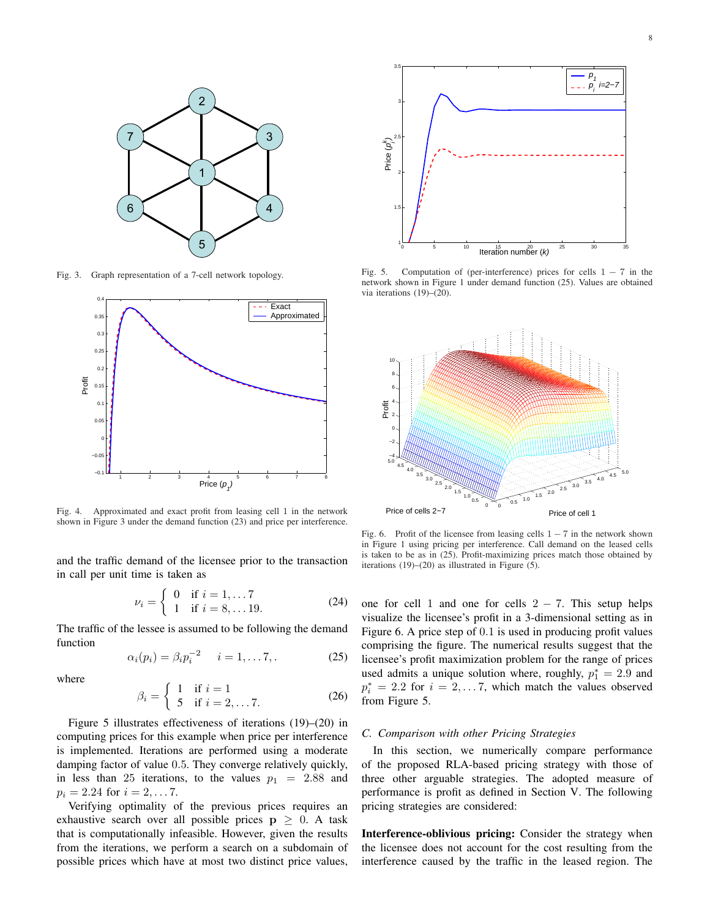

Fig. 3. Graph representation of a 7-cell network topology.



Fig. 4. Approximated and exact profit from leasing cell 1 in the network shown in Figure 3 under the demand function (23) and price per interference.

and the traffic demand of the licensee prior to the transaction in call per unit time is taken as

$$
\nu_i = \begin{cases} 0 & \text{if } i = 1, \dots 7 \\ 1 & \text{if } i = 8, \dots 19. \end{cases}
$$
 (24)

The traffic of the lessee is assumed to be following the demand function

$$
\alpha_i(p_i) = \beta_i p_i^{-2} \qquad i = 1, \dots 7, \tag{25}
$$

where

$$
\beta_i = \begin{cases} 1 & \text{if } i = 1 \\ 5 & \text{if } i = 2, \dots 7. \end{cases}
$$
 (26)

Figure 5 illustrates effectiveness of iterations (19)–(20) in computing prices for this example when price per interference is implemented. Iterations are performed using a moderate damping factor of value 0.5. They converge relatively quickly, in less than 25 iterations, to the values  $p_1 = 2.88$  and  $p_i = 2.24$  for  $i = 2, \ldots 7$ .

Verifying optimality of the previous prices requires an exhaustive search over all possible prices  $p \geq 0$ . A task that is computationally infeasible. However, given the results from the iterations, we perform a search on a subdomain of possible prices which have at most two distinct price values,



Fig. 5. Computation of (per-interference) prices for cells  $1 - 7$  in the network shown in Figure 1 under demand function (25). Values are obtained via iterations (19)–(20).



Fig. 6. Profit of the licensee from leasing cells  $1 - 7$  in the network shown in Figure 1 using pricing per interference. Call demand on the leased cells is taken to be as in (25). Profit-maximizing prices match those obtained by iterations (19)–(20) as illustrated in Figure (5).

one for cell 1 and one for cells  $2 - 7$ . This setup helps visualize the licensee's profit in a 3-dimensional setting as in Figure 6. A price step of 0.1 is used in producing profit values comprising the figure. The numerical results suggest that the licensee's profit maximization problem for the range of prices used admits a unique solution where, roughly,  $p_1^* = 2.9$  and  $p_i^* = 2.2$  for  $i = 2, \ldots, 7$ , which match the values observed from Figure 5.

#### *C. Comparison with other Pricing Strategies*

In this section, we numerically compare performance of the proposed RLA-based pricing strategy with those of three other arguable strategies. The adopted measure of performance is profit as defined in Section V. The following pricing strategies are considered:

Interference-oblivious pricing: Consider the strategy when the licensee does not account for the cost resulting from the interference caused by the traffic in the leased region. The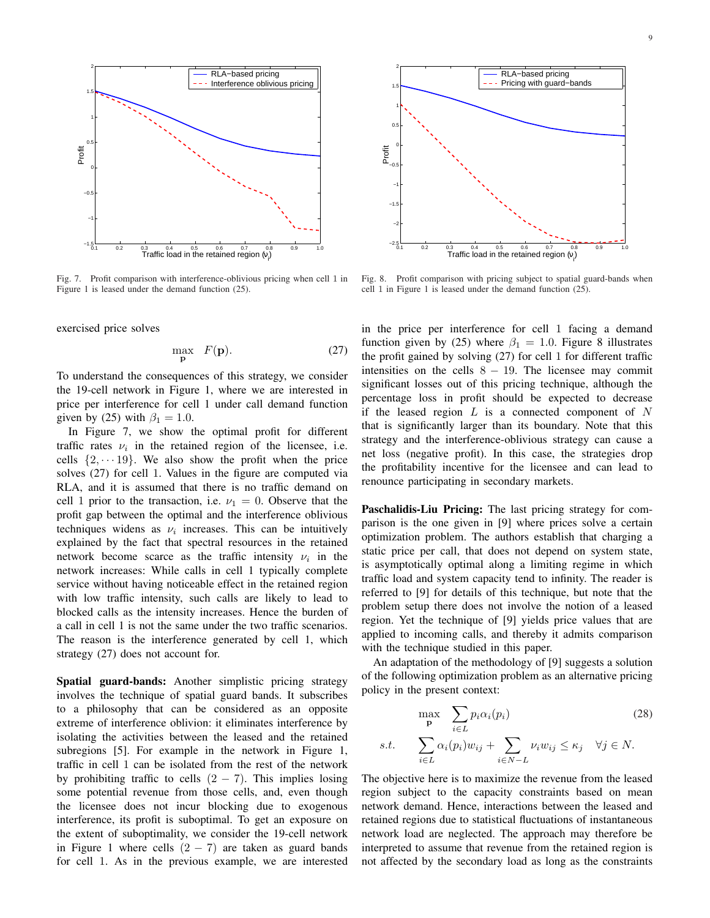

Fig. 7. Profit comparison with interference-oblivious pricing when cell 1 in Figure 1 is leased under the demand function (25).

exercised price solves

$$
\max_{\mathbf{p}} F(\mathbf{p}). \tag{27}
$$

To understand the consequences of this strategy, we consider the 19-cell network in Figure 1, where we are interested in price per interference for cell 1 under call demand function given by (25) with  $\beta_1 = 1.0$ .

In Figure 7, we show the optimal profit for different traffic rates  $\nu_i$  in the retained region of the licensee, i.e. cells  $\{2, \dots 19\}$ . We also show the profit when the price solves (27) for cell 1. Values in the figure are computed via RLA, and it is assumed that there is no traffic demand on cell 1 prior to the transaction, i.e.  $\nu_1 = 0$ . Observe that the profit gap between the optimal and the interference oblivious techniques widens as  $\nu_i$  increases. This can be intuitively explained by the fact that spectral resources in the retained network become scarce as the traffic intensity  $\nu_i$  in the network increases: While calls in cell 1 typically complete service without having noticeable effect in the retained region with low traffic intensity, such calls are likely to lead to blocked calls as the intensity increases. Hence the burden of a call in cell 1 is not the same under the two traffic scenarios. The reason is the interference generated by cell 1, which strategy (27) does not account for.

Spatial guard-bands: Another simplistic pricing strategy involves the technique of spatial guard bands. It subscribes to a philosophy that can be considered as an opposite extreme of interference oblivion: it eliminates interference by isolating the activities between the leased and the retained subregions [5]. For example in the network in Figure 1, traffic in cell 1 can be isolated from the rest of the network by prohibiting traffic to cells  $(2 - 7)$ . This implies losing some potential revenue from those cells, and, even though the licensee does not incur blocking due to exogenous interference, its profit is suboptimal. To get an exposure on the extent of suboptimality, we consider the 19-cell network in Figure 1 where cells  $(2 - 7)$  are taken as guard bands for cell 1. As in the previous example, we are interested



Fig. 8. Profit comparison with pricing subject to spatial guard-bands when cell 1 in Figure 1 is leased under the demand function (25).

in the price per interference for cell 1 facing a demand function given by (25) where  $\beta_1 = 1.0$ . Figure 8 illustrates the profit gained by solving (27) for cell 1 for different traffic intensities on the cells  $8 - 19$ . The licensee may commit significant losses out of this pricing technique, although the percentage loss in profit should be expected to decrease if the leased region  $L$  is a connected component of  $N$ that is significantly larger than its boundary. Note that this strategy and the interference-oblivious strategy can cause a net loss (negative profit). In this case, the strategies drop the profitability incentive for the licensee and can lead to renounce participating in secondary markets.

Paschalidis-Liu Pricing: The last pricing strategy for comparison is the one given in [9] where prices solve a certain optimization problem. The authors establish that charging a static price per call, that does not depend on system state, is asymptotically optimal along a limiting regime in which traffic load and system capacity tend to infinity. The reader is referred to [9] for details of this technique, but note that the problem setup there does not involve the notion of a leased region. Yet the technique of [9] yields price values that are applied to incoming calls, and thereby it admits comparison with the technique studied in this paper.

An adaptation of the methodology of [9] suggests a solution of the following optimization problem as an alternative pricing policy in the present context:

$$
\max_{\mathbf{p}} \sum_{i \in L} p_i \alpha_i(p_i) \tag{28}
$$
  
s.t. 
$$
\sum_{i \in L} \alpha_i(p_i) w_{ij} + \sum_{i \in N - L} \nu_i w_{ij} \le \kappa_j \quad \forall j \in N.
$$

The objective here is to maximize the revenue from the leased region subject to the capacity constraints based on mean network demand. Hence, interactions between the leased and retained regions due to statistical fluctuations of instantaneous network load are neglected. The approach may therefore be interpreted to assume that revenue from the retained region is not affected by the secondary load as long as the constraints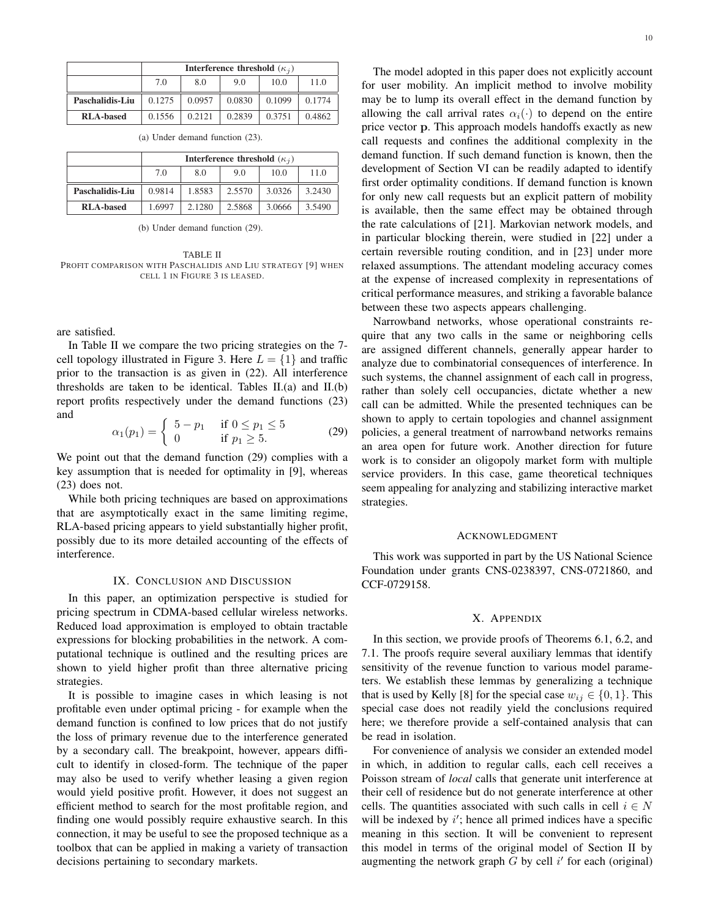|                  | Interference threshold $(\kappa_i)$ |        |        |        |        |
|------------------|-------------------------------------|--------|--------|--------|--------|
|                  | 7.0                                 | 8.0    | 9.0    | 10.0   | 11.0   |
| Paschalidis-Liu  | 0.1275                              | 0.0957 | 0.0830 | 0.1099 | 0.1774 |
| <b>RLA-based</b> | 0.1556                              | 0.2121 | 0.2839 | 0.3751 | 0.4862 |

| (a) Under demand function (23). |  |
|---------------------------------|--|
|---------------------------------|--|

|                  | Interference threshold $(\kappa_i)$ |        |        |        |        |
|------------------|-------------------------------------|--------|--------|--------|--------|
|                  | 7.0                                 | 8.0    | 9.0    | 10.0   | 11.0   |
| Paschalidis-Liu  | 0.9814                              | 1.8583 | 2.5570 | 3.0326 | 3.2430 |
| <b>RLA-based</b> | 1.6997                              | 2.1280 | 2.5868 | 3.0666 | 3.5490 |

(b) Under demand function (29).

#### TABLE II PROFIT COMPARISON WITH PASCHALIDIS AND LIU STRATEGY [9] WHEN CELL 1 IN FIGURE 3 IS LEASED.

are satisfied.

In Table II we compare the two pricing strategies on the 7 cell topology illustrated in Figure 3. Here  $L = \{1\}$  and traffic prior to the transaction is as given in (22). All interference thresholds are taken to be identical. Tables II.(a) and II.(b) report profits respectively under the demand functions (23) and

$$
\alpha_1(p_1) = \begin{cases} 5 - p_1 & \text{if } 0 \le p_1 \le 5 \\ 0 & \text{if } p_1 \ge 5. \end{cases}
$$
 (29)

We point out that the demand function (29) complies with a key assumption that is needed for optimality in [9], whereas (23) does not.

While both pricing techniques are based on approximations that are asymptotically exact in the same limiting regime, RLA-based pricing appears to yield substantially higher profit, possibly due to its more detailed accounting of the effects of interference.

#### IX. CONCLUSION AND DISCUSSION

In this paper, an optimization perspective is studied for pricing spectrum in CDMA-based cellular wireless networks. Reduced load approximation is employed to obtain tractable expressions for blocking probabilities in the network. A computational technique is outlined and the resulting prices are shown to yield higher profit than three alternative pricing strategies.

It is possible to imagine cases in which leasing is not profitable even under optimal pricing - for example when the demand function is confined to low prices that do not justify the loss of primary revenue due to the interference generated by a secondary call. The breakpoint, however, appears difficult to identify in closed-form. The technique of the paper may also be used to verify whether leasing a given region would yield positive profit. However, it does not suggest an efficient method to search for the most profitable region, and finding one would possibly require exhaustive search. In this connection, it may be useful to see the proposed technique as a toolbox that can be applied in making a variety of transaction decisions pertaining to secondary markets.

The model adopted in this paper does not explicitly account for user mobility. An implicit method to involve mobility may be to lump its overall effect in the demand function by allowing the call arrival rates  $\alpha_i(\cdot)$  to depend on the entire price vector p. This approach models handoffs exactly as new call requests and confines the additional complexity in the demand function. If such demand function is known, then the development of Section VI can be readily adapted to identify first order optimality conditions. If demand function is known for only new call requests but an explicit pattern of mobility is available, then the same effect may be obtained through the rate calculations of [21]. Markovian network models, and in particular blocking therein, were studied in [22] under a certain reversible routing condition, and in [23] under more relaxed assumptions. The attendant modeling accuracy comes at the expense of increased complexity in representations of critical performance measures, and striking a favorable balance between these two aspects appears challenging.

Narrowband networks, whose operational constraints require that any two calls in the same or neighboring cells are assigned different channels, generally appear harder to analyze due to combinatorial consequences of interference. In such systems, the channel assignment of each call in progress, rather than solely cell occupancies, dictate whether a new call can be admitted. While the presented techniques can be shown to apply to certain topologies and channel assignment policies, a general treatment of narrowband networks remains an area open for future work. Another direction for future work is to consider an oligopoly market form with multiple service providers. In this case, game theoretical techniques seem appealing for analyzing and stabilizing interactive market strategies.

#### ACKNOWLEDGMENT

This work was supported in part by the US National Science Foundation under grants CNS-0238397, CNS-0721860, and CCF-0729158.

## X. APPENDIX

In this section, we provide proofs of Theorems 6.1, 6.2, and 7.1. The proofs require several auxiliary lemmas that identify sensitivity of the revenue function to various model parameters. We establish these lemmas by generalizing a technique that is used by Kelly [8] for the special case  $w_{ij} \in \{0, 1\}$ . This special case does not readily yield the conclusions required here; we therefore provide a self-contained analysis that can be read in isolation.

For convenience of analysis we consider an extended model in which, in addition to regular calls, each cell receives a Poisson stream of *local* calls that generate unit interference at their cell of residence but do not generate interference at other cells. The quantities associated with such calls in cell  $i \in N$ will be indexed by  $i'$ ; hence all primed indices have a specific meaning in this section. It will be convenient to represent this model in terms of the original model of Section II by augmenting the network graph  $G$  by cell  $i'$  for each (original)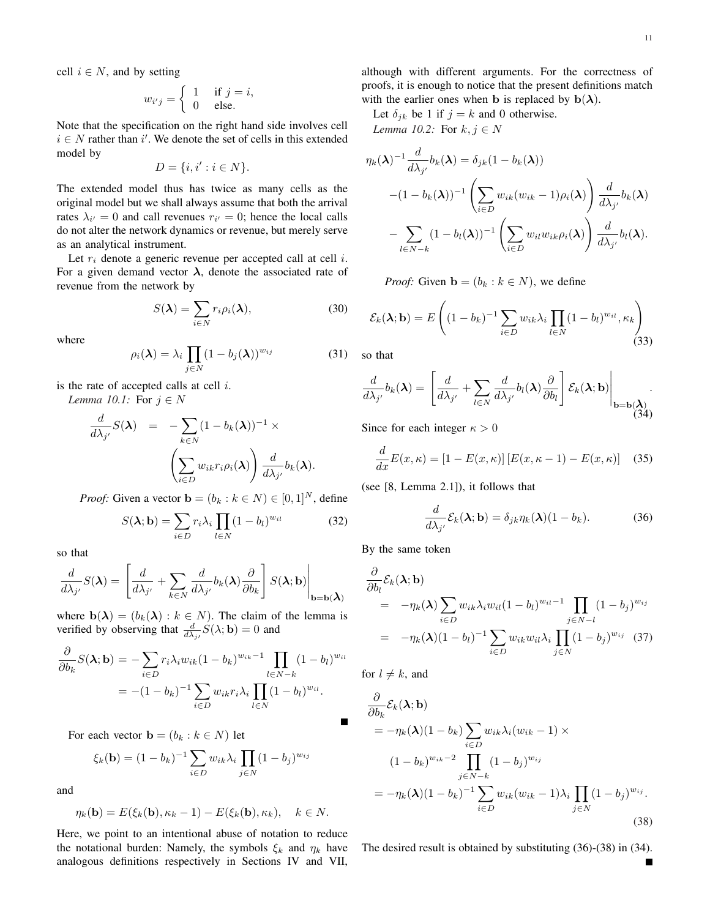cell  $i \in N$ , and by setting

$$
w_{i'j} = \begin{cases} 1 & \text{if } j = i, \\ 0 & \text{else.} \end{cases}
$$

Note that the specification on the right hand side involves cell  $i \in N$  rather than i'. We denote the set of cells in this extended model by

$$
D = \{i, i' : i \in N\}.
$$

The extended model thus has twice as many cells as the original model but we shall always assume that both the arrival rates  $\lambda_{i'} = 0$  and call revenues  $r_{i'} = 0$ ; hence the local calls do not alter the network dynamics or revenue, but merely serve as an analytical instrument.

Let  $r_i$  denote a generic revenue per accepted call at cell  $i$ . For a given demand vector  $\lambda$ , denote the associated rate of revenue from the network by

$$
S(\lambda) = \sum_{i \in N} r_i \rho_i(\lambda), \qquad (30)
$$

where

$$
\rho_i(\boldsymbol{\lambda}) = \lambda_i \prod_{j \in N} (1 - b_j(\boldsymbol{\lambda}))^{w_{ij}} \tag{31}
$$

is the rate of accepted calls at cell  $i$ .

*Lemma 10.1:* For  $j \in N$ 

$$
\frac{d}{d\lambda_{j'}}S(\lambda) = -\sum_{k \in N} (1 - b_k(\lambda))^{-1} \times \left(\sum_{i \in D} w_{ik} r_i \rho_i(\lambda)\right) \frac{d}{d\lambda_{j'}} b_k(\lambda).
$$

*Proof:* Given a vector  $\mathbf{b} = (b_k : k \in N) \in [0, 1]^N$ , define

$$
S(\lambda; \mathbf{b}) = \sum_{i \in D} r_i \lambda_i \prod_{l \in N} (1 - b_l)^{w_{il}} \tag{32}
$$

so that

$$
\frac{d}{d\lambda_{j'}}S(\boldsymbol{\lambda}) = \left[\frac{d}{d\lambda_{j'}} + \sum_{k \in N} \frac{d}{d\lambda_{j'}} b_k(\boldsymbol{\lambda}) \frac{\partial}{\partial b_k}\right] S(\boldsymbol{\lambda}; \mathbf{b}) \Big|_{\mathbf{b} = \mathbf{b}(\boldsymbol{\lambda})}
$$

where  $\mathbf{b}(\lambda) = (b_k(\lambda) : k \in N)$ . The claim of the lemma is verified by observing that  $\frac{d}{d\lambda_j}S(\lambda; \mathbf{b})=0$  and

$$
\frac{\partial}{\partial b_k} S(\lambda; \mathbf{b}) = -\sum_{i \in D} r_i \lambda_i w_{ik} (1 - b_k)^{w_{ik} - 1} \prod_{l \in N - k} (1 - b_l)^{w_{il}}
$$

$$
= -(1 - b_k)^{-1} \sum_{i \in D} w_{ik} r_i \lambda_i \prod_{l \in N} (1 - b_l)^{w_{il}}.
$$

For each vector **b** =  $(b_k : k \in N)$  let

$$
\xi_k(\mathbf{b}) = (1 - b_k)^{-1} \sum_{i \in D} w_{ik} \lambda_i \prod_{j \in N} (1 - b_j)^{w_{ij}}
$$

and

$$
\eta_k(\mathbf{b}) = E(\xi_k(\mathbf{b}), \kappa_k - 1) - E(\xi_k(\mathbf{b}), \kappa_k), \quad k \in N.
$$

Here, we point to an intentional abuse of notation to reduce the notational burden: Namely, the symbols  $\xi_k$  and  $\eta_k$  have analogous definitions respectively in Sections IV and VII, although with different arguments. For the correctness of proofs, it is enough to notice that the present definitions match with the earlier ones when b is replaced by  $b(\lambda)$ .

Let  $\delta_{jk}$  be 1 if  $j = k$  and 0 otherwise. *Lemma 10.2:* For  $k, j \in N$ 

$$
\eta_k(\boldsymbol{\lambda})^{-1} \frac{d}{d\lambda_{j'}} b_k(\boldsymbol{\lambda}) = \delta_{jk} (1 - b_k(\boldsymbol{\lambda}))
$$

$$
- (1 - b_k(\boldsymbol{\lambda}))^{-1} \left( \sum_{i \in D} w_{ik} (w_{ik} - 1) \rho_i(\boldsymbol{\lambda}) \right) \frac{d}{d\lambda_{j'}} b_k(\boldsymbol{\lambda})
$$

$$
- \sum_{l \in N-k} (1 - b_l(\boldsymbol{\lambda}))^{-1} \left( \sum_{i \in D} w_{il} w_{ik} \rho_i(\boldsymbol{\lambda}) \right) \frac{d}{d\lambda_{j'}} b_l(\boldsymbol{\lambda}).
$$

*Proof:* Given  $\mathbf{b} = (b_k : k \in N)$ , we define

$$
\mathcal{E}_k(\lambda; \mathbf{b}) = E\left( (1 - b_k)^{-1} \sum_{i \in D} w_{ik} \lambda_i \prod_{l \in N} (1 - b_l)^{w_{il}}, \kappa_k \right)
$$
\n(33)

so that

$$
\frac{d}{d\lambda_{j'}}b_k(\boldsymbol{\lambda}) = \left[\frac{d}{d\lambda_{j'}} + \sum_{l \in N} \frac{d}{d\lambda_{j'}}b_l(\boldsymbol{\lambda}) \frac{\partial}{\partial b_l}\right] \mathcal{E}_k(\boldsymbol{\lambda}; \mathbf{b}) \Big|_{\mathbf{b} = \mathbf{b}(\boldsymbol{\lambda})}.
$$
\n(34)

Since for each integer  $\kappa > 0$ 

$$
\frac{d}{dx}E(x,\kappa) = [1 - E(x,\kappa)] [E(x,\kappa - 1) - E(x,\kappa)] \quad (35)
$$

(see [8, Lemma 2.1]), it follows that

$$
\frac{d}{d\lambda_{j'}}\mathcal{E}_k(\lambda; \mathbf{b}) = \delta_{jk}\eta_k(\lambda)(1 - b_k). \tag{36}
$$

By the same token

$$
\frac{\partial}{\partial b_l} \mathcal{E}_k(\lambda; \mathbf{b})
$$
\n
$$
= -\eta_k(\lambda) \sum_{i \in D} w_{ik} \lambda_i w_{il} (1 - b_l)^{w_{il} - 1} \prod_{j \in N - l} (1 - b_j)^{w_{ij}}
$$
\n
$$
= -\eta_k(\lambda) (1 - b_l)^{-1} \sum_{i \in D} w_{ik} w_{il} \lambda_i \prod_{j \in N} (1 - b_j)^{w_{ij}} (37)
$$

for  $l \neq k$ , and

$$
\frac{\partial}{\partial b_k} \mathcal{E}_k(\lambda; \mathbf{b})
$$
\n
$$
= -\eta_k(\lambda)(1 - b_k) \sum_{i \in D} w_{ik} \lambda_i (w_{ik} - 1) \times
$$
\n
$$
(1 - b_k)^{w_{ik} - 2} \prod_{j \in N - k} (1 - b_j)^{w_{ij}}
$$
\n
$$
= -\eta_k(\lambda)(1 - b_k)^{-1} \sum_{i \in D} w_{ik} (w_{ik} - 1) \lambda_i \prod_{j \in N} (1 - b_j)^{w_{ij}}.
$$
\n(38)

The desired result is obtained by substituting (36)-(38) in (34).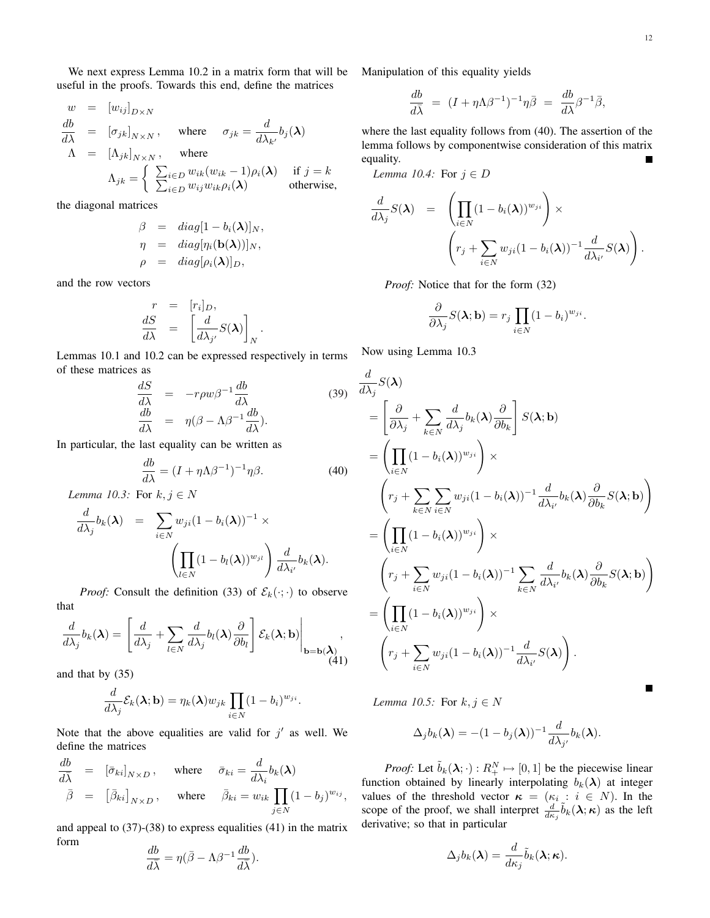We next express Lemma 10.2 in a matrix form that will be useful in the proofs. Towards this end, define the matrices

$$
w = [w_{ij}]_{D \times N}
$$
  
\n
$$
\frac{db}{d\lambda} = [\sigma_{jk}]_{N \times N}, \text{ where } \sigma_{jk} = \frac{d}{d\lambda_{k'}} b_j(\lambda)
$$
  
\n
$$
\Lambda = [\Lambda_{jk}]_{N \times N}, \text{ where}
$$
  
\n
$$
\Lambda_{jk} = \begin{cases} \sum_{i \in D} w_{ik} (w_{ik} - 1) \rho_i(\lambda) & \text{if } j = k \\ \sum_{i \in D} w_{ij} w_{ik} \rho_i(\lambda) & \text{otherwise,} \end{cases}
$$

the diagonal matrices

$$
\beta = diag[1 - b_i(\boldsymbol{\lambda})]_N,\n\eta = diag[\eta_i(\mathbf{b}(\boldsymbol{\lambda}))]_N,\n\rho = diag[\rho_i(\boldsymbol{\lambda})]_D,
$$

and the row vectors

$$
\begin{array}{rcl}\nr &=& [r_i]_D, \\
\frac{dS}{d\lambda} &=& \left[\frac{d}{d\lambda_{j'}}S(\lambda)\right]_N\n\end{array}
$$

Lemmas 10.1 and 10.2 can be expressed respectively in terms of these matrices as

$$
\frac{dS}{d\lambda} = -r\rho w\beta^{-1} \frac{db}{d\lambda} \n\frac{db}{d\lambda} = \eta(\beta - \Lambda\beta^{-1} \frac{db}{d\lambda}).
$$
\n(39)

.

In particular, the last equality can be written as

$$
\frac{db}{d\lambda} = (I + \eta \Lambda \beta^{-1})^{-1} \eta \beta.
$$
 (40)

*Lemma 10.3:* For  $k, j \in N$ 

$$
\frac{d}{d\lambda_j}b_k(\boldsymbol{\lambda}) = \sum_{i \in N} w_{ji}(1 - b_i(\boldsymbol{\lambda}))^{-1} \times \left(\prod_{l \in N} (1 - b_l(\boldsymbol{\lambda}))^{w_{jl}}\right) \frac{d}{d\lambda_{i'}} b_k(\boldsymbol{\lambda}).
$$

*Proof:* Consult the definition (33) of  $\mathcal{E}_k(\cdot; \cdot)$  to observe that 1  $\overline{a}$ 

$$
\frac{d}{d\lambda_j}b_k(\boldsymbol{\lambda}) = \left[\frac{d}{d\lambda_j} + \sum_{l \in N} \frac{d}{d\lambda_j}b_l(\boldsymbol{\lambda})\frac{\partial}{\partial b_l}\right] \mathcal{E}_k(\boldsymbol{\lambda}; \mathbf{b})\Big|_{\mathbf{b} = \mathbf{b}(\boldsymbol{\lambda})}
$$
\n(41)

and that by (35)

$$
\frac{d}{d\lambda_j} \mathcal{E}_k(\lambda; \mathbf{b}) = \eta_k(\lambda) w_{jk} \prod_{i \in N} (1 - b_i)^{w_{ji}}.
$$

Note that the above equalities are valid for  $j'$  as well. We define the matrices

$$
\frac{db}{d\overline{\lambda}} = [\overline{\sigma}_{ki}]_{N \times D}, \quad \text{where} \quad \overline{\sigma}_{ki} = \frac{d}{d\lambda_i} b_k(\lambda)
$$

$$
\overline{\beta} = [\overline{\beta}_{ki}]_{N \times D}, \quad \text{where} \quad \overline{\beta}_{ki} = w_{ik} \prod_{j \in N} (1 - b_j)^{w_{ij}},
$$

and appeal to (37)-(38) to express equalities (41) in the matrix form

$$
\frac{db}{d\bar{\lambda}} = \eta(\bar{\beta} - \Lambda \beta^{-1} \frac{db}{d\bar{\lambda}}).
$$

Manipulation of this equality yields

$$
\frac{db}{d\bar{\lambda}} = (I + \eta \Lambda \beta^{-1})^{-1} \eta \bar{\beta} = \frac{db}{d\lambda} \beta^{-1} \bar{\beta},
$$

where the last equality follows from (40). The assertion of the lemma follows by componentwise consideration of this matrix equality. ۰

*Lemma 10.4:* For  $j \in D$ 

$$
\frac{d}{d\lambda_j}S(\boldsymbol{\lambda}) = \left(\prod_{i\in N}(1-b_i(\boldsymbol{\lambda}))^{w_{ji}}\right) \times \left(r_j + \sum_{i\in N}w_{ji}(1-b_i(\boldsymbol{\lambda}))^{-1}\frac{d}{d\lambda_{i'}}S(\boldsymbol{\lambda})\right).
$$

*Proof:* Notice that for the form (32)

$$
\frac{\partial}{\partial \lambda_j} S(\lambda; \mathbf{b}) = r_j \prod_{i \in N} (1 - b_i)^{w_{ji}}.
$$

Now using Lemma 10.3

$$
\frac{d}{d\lambda_{j}}S(\lambda)
$$
\n
$$
= \left[\frac{\partial}{\partial\lambda_{j}} + \sum_{k \in N} \frac{d}{d\lambda_{j}} b_{k}(\lambda) \frac{\partial}{\partial b_{k}}\right] S(\lambda; \mathbf{b})
$$
\n
$$
= \left(\prod_{i \in N} (1 - b_{i}(\lambda))^{w_{ji}}\right) \times
$$
\n
$$
\left(r_{j} + \sum_{k \in N} \sum_{i \in N} w_{ji} (1 - b_{i}(\lambda))^{-1} \frac{d}{d\lambda_{i'}} b_{k}(\lambda) \frac{\partial}{\partial b_{k}} S(\lambda; \mathbf{b})\right)
$$
\n
$$
= \left(\prod_{i \in N} (1 - b_{i}(\lambda))^{w_{ji}}\right) \times
$$
\n
$$
\left(r_{j} + \sum_{i \in N} w_{ji} (1 - b_{i}(\lambda))^{-1} \sum_{k \in N} \frac{d}{d\lambda_{i'}} b_{k}(\lambda) \frac{\partial}{\partial b_{k}} S(\lambda; \mathbf{b})\right)
$$
\n
$$
= \left(\prod_{i \in N} (1 - b_{i}(\lambda))^{w_{ji}}\right) \times
$$
\n
$$
\left(r_{j} + \sum_{i \in N} w_{ji} (1 - b_{i}(\lambda))^{-1} \frac{d}{d\lambda_{i'}} S(\lambda)\right).
$$

*Lemma 10.5:* For  $k, j \in N$ 

$$
\Delta_j b_k(\boldsymbol{\lambda}) = -(1 - b_j(\boldsymbol{\lambda}))^{-1} \frac{d}{d\lambda_{j'}} b_k(\boldsymbol{\lambda}).
$$

*Proof:* Let  $\tilde{b}_k(\lambda; \cdot) : R_+^N \mapsto [0, 1]$  be the piecewise linear function obtained by linearly interpolating  $b_k(\lambda)$  at integer values of the threshold vector  $\kappa = (\kappa_i : i \in N)$ . In the scope of the proof, we shall interpret  $\frac{d}{d\kappa_j} \tilde{b}_k(\lambda; \kappa)$  as the left derivative; so that in particular

$$
\Delta_j b_k(\boldsymbol{\lambda}) = \frac{d}{d\kappa_j} \tilde{b}_k(\boldsymbol{\lambda}; \boldsymbol{\kappa}).
$$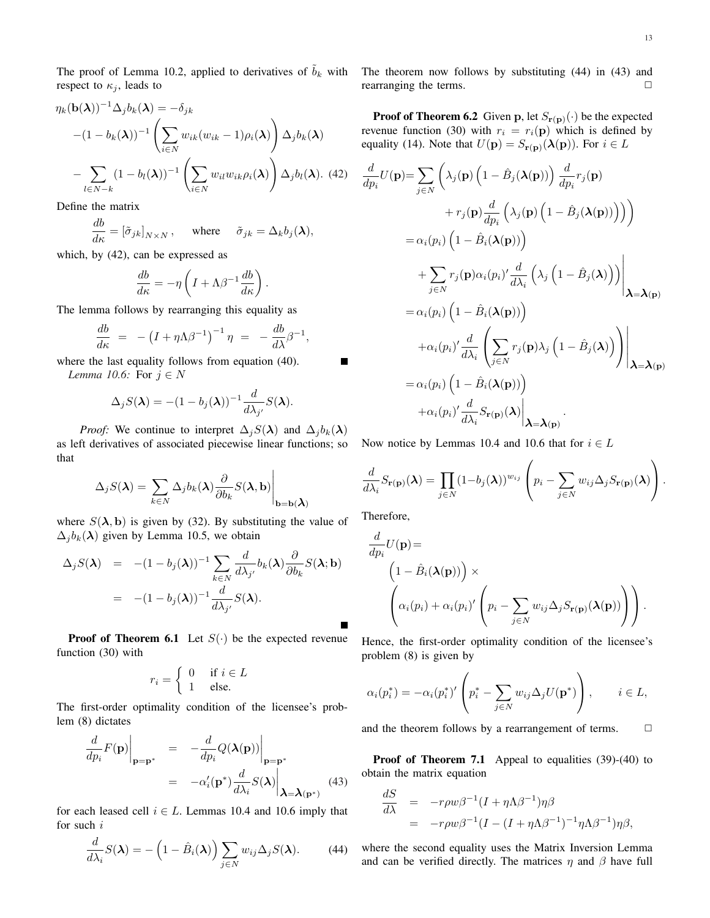The proof of Lemma 10.2, applied to derivatives of  $\tilde{b}_k$  with respect to  $\kappa_j$ , leads to

$$
\eta_k(\mathbf{b}(\boldsymbol{\lambda}))^{-1} \Delta_j b_k(\boldsymbol{\lambda}) = -\delta_{jk}
$$
  
 
$$
-(1 - b_k(\boldsymbol{\lambda}))^{-1} \left( \sum_{i \in N} w_{ik}(w_{ik} - 1) \rho_i(\boldsymbol{\lambda}) \right) \Delta_j b_k(\boldsymbol{\lambda})
$$
  
 
$$
- \sum_{l \in N-k} (1 - b_l(\boldsymbol{\lambda}))^{-1} \left( \sum_{i \in N} w_{il} w_{ik} \rho_i(\boldsymbol{\lambda}) \right) \Delta_j b_l(\boldsymbol{\lambda}). \tag{42}
$$

Define the matrix

$$
\frac{d b}{d \kappa} = \left[ \tilde{\sigma}_{j k} \right]_{N \times N}, \quad \text{ where } \quad \tilde{\sigma}_{j k} = \Delta_k b_j(\pmb{\lambda}),
$$

which, by (42), can be expressed as

$$
\frac{db}{d\kappa} = -\eta \left( I + \Lambda \beta^{-1} \frac{db}{d\kappa} \right).
$$

The lemma follows by rearranging this equality as

$$
\frac{db}{d\kappa} = - (I + \eta \Lambda \beta^{-1})^{-1} \eta = - \frac{db}{d\lambda} \beta^{-1},
$$

where the last equality follows from equation (40). *Lemma 10.6:* For  $j \in N$ 

$$
\Delta_j S(\boldsymbol{\lambda}) = -(1 - b_j(\boldsymbol{\lambda}))^{-1} \frac{d}{d\lambda_{j'}} S(\boldsymbol{\lambda}).
$$

*Proof:* We continue to interpret  $\Delta_j S(\lambda)$  and  $\Delta_j b_k(\lambda)$ as left derivatives of associated piecewise linear functions; so that  $\overline{a}$ 

$$
\Delta_j S(\boldsymbol{\lambda}) = \sum_{k \in N} \Delta_j b_k(\boldsymbol{\lambda}) \frac{\partial}{\partial b_k} S(\boldsymbol{\lambda}, \mathbf{b}) \Big|_{\mathbf{b} = \mathbf{b}(\boldsymbol{\lambda})}
$$

where  $S(\lambda, b)$  is given by (32). By substituting the value of  $\Delta_j b_k(\lambda)$  given by Lemma 10.5, we obtain

$$
\Delta_j S(\lambda) = -(1 - b_j(\lambda))^{-1} \sum_{k \in N} \frac{d}{d\lambda_{j'}} b_k(\lambda) \frac{\partial}{\partial b_k} S(\lambda; \mathbf{b})
$$
  
= -(1 - b\_j(\lambda))^{-1} \frac{d}{d\lambda\_{j'}} S(\lambda).

**Proof of Theorem 6.1** Let  $S(\cdot)$  be the expected revenue function (30) with

$$
r_i = \begin{cases} 0 & \text{if } i \in L \\ 1 & \text{else.} \end{cases}
$$

The first-order optimality condition of the licensee's problem (8) dictates

$$
\frac{d}{dp_i}F(\mathbf{p})\Big|_{\mathbf{p}=\mathbf{p}^*} = -\frac{d}{dp_i}Q(\boldsymbol{\lambda}(\mathbf{p}))\Big|_{\mathbf{p}=\mathbf{p}^*}
$$

$$
= -\alpha_i'(\mathbf{p}^*)\frac{d}{d\lambda_i}S(\boldsymbol{\lambda})\Big|_{\boldsymbol{\lambda}=\boldsymbol{\lambda}(\mathbf{p}^*)} \quad (43)
$$

for each leased cell  $i \in L$ . Lemmas 10.4 and 10.6 imply that for such  $i$ 

$$
\frac{d}{d\lambda_i}S(\boldsymbol{\lambda}) = -\left(1 - \hat{B}_i(\boldsymbol{\lambda})\right) \sum_{j \in N} w_{ij} \Delta_j S(\boldsymbol{\lambda}). \tag{44}
$$

The theorem now follows by substituting (44) in (43) and rearranging the terms.

**Proof of Theorem 6.2** Given p, let  $S_{\mathbf{r}(\mathbf{p})}(\cdot)$  be the expected revenue function (30) with  $r_i = r_i(\mathbf{p})$  which is defined by equality (14). Note that  $U(\mathbf{p}) = S_{\mathbf{r}(\mathbf{p})}(\lambda(\mathbf{p}))$ . For  $i \in L$ 

$$
\frac{d}{dp_i}U(\mathbf{p}) = \sum_{j \in N} \left( \lambda_j(\mathbf{p}) \left( 1 - \hat{B}_j(\lambda(\mathbf{p})) \right) \frac{d}{dp_i} r_j(\mathbf{p}) \n+ r_j(\mathbf{p}) \frac{d}{dp_i} \left( \lambda_j(\mathbf{p}) \left( 1 - \hat{B}_j(\lambda(\mathbf{p})) \right) \right) \right) \n= \alpha_i(p_i) \left( 1 - \hat{B}_i(\lambda(\mathbf{p})) \right) \n+ \sum_{j \in N} r_j(\mathbf{p}) \alpha_i(p_i)' \frac{d}{d\lambda_i} \left( \lambda_j \left( 1 - \hat{B}_j(\lambda) \right) \right) \Bigg|_{\lambda = \lambda(\mathbf{p})} \n= \alpha_i(p_i) \left( 1 - \hat{B}_i(\lambda(\mathbf{p})) \right) \n+ \alpha_i(p_i)' \frac{d}{d\lambda_i} \left( \sum_{j \in N} r_j(\mathbf{p}) \lambda_j \left( 1 - \hat{B}_j(\lambda) \right) \right) \Bigg|_{\lambda = \lambda(\mathbf{p})} \n= \alpha_i(p_i) \left( 1 - \hat{B}_i(\lambda(\mathbf{p})) \right) \n+ \alpha_i(p_i)' \frac{d}{d\lambda_i} S_{\mathbf{r}(\mathbf{p})}(\lambda) \Bigg|_{\lambda = \lambda(\mathbf{p})}.
$$

Now notice by Lemmas 10.4 and 10.6 that for  $i \in L$ 

$$
\frac{d}{d\lambda_i}S_{\mathbf{r}(\mathbf{p})}(\boldsymbol{\lambda}) = \prod_{j\in N} (1-b_j(\boldsymbol{\lambda}))^{w_{ij}} \left(p_i - \sum_{j\in N} w_{ij} \Delta_j S_{\mathbf{r}(\mathbf{p})}(\boldsymbol{\lambda})\right).
$$

Therefore,

d

п

$$
\frac{d}{dp_i}U(\mathbf{p}) =
$$
\n
$$
\left(1 - \hat{B}_i(\lambda(\mathbf{p}))\right) \times \left(\alpha_i(p_i) + \alpha_i(p_i)'\left(p_i - \sum_{j \in N} w_{ij}\Delta_j S_{\mathbf{r}(\mathbf{p})}(\lambda(\mathbf{p}))\right)\right).
$$

Hence, the first-order optimality condition of the licensee's problem (8) is given by

$$
\alpha_i(p_i^*) = -\alpha_i(p_i^*)' \left( p_i^* - \sum_{j \in N} w_{ij} \Delta_j U(\mathbf{p}^*) \right), \qquad i \in L,
$$

and the theorem follows by a rearrangement of terms.  $\Box$ 

Proof of Theorem 7.1 Appeal to equalities (39)-(40) to obtain the matrix equation

$$
\frac{dS}{d\lambda} = -r\rho w \beta^{-1} (I + \eta \Lambda \beta^{-1}) \eta \beta \n= -r\rho w \beta^{-1} (I - (I + \eta \Lambda \beta^{-1})^{-1} \eta \Lambda \beta^{-1}) \eta \beta,
$$

where the second equality uses the Matrix Inversion Lemma and can be verified directly. The matrices  $\eta$  and  $\beta$  have full